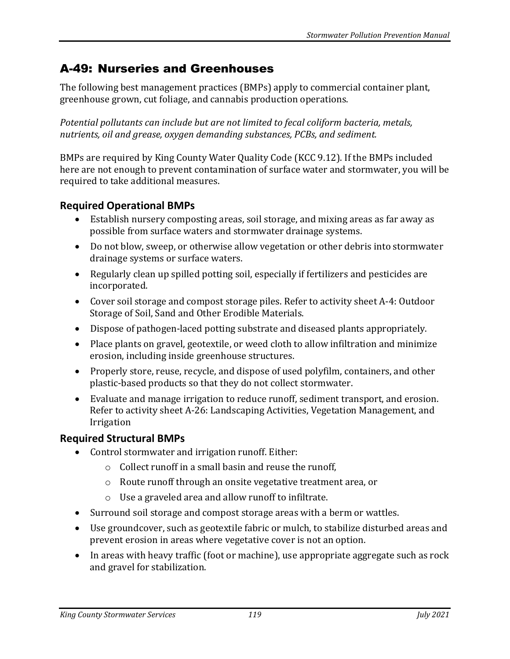# A-49: Nurseries and Greenhouses

The following best management practices (BMPs) apply to commercial container plant, greenhouse grown, cut foliage, and cannabis production operations.

*Potential pollutants can include but are not limited to fecal coliform bacteria, metals, nutrients, oil and grease, oxygen demanding substances, PCBs, and sediment.*

BMPs are required by King County Water Quality Code (KCC 9.12). If the BMPs included here are not enough to prevent contamination of surface water and stormwater, you will be required to take additional measures.

## **Required Operational BMPs**

- Establish nursery composting areas, soil storage, and mixing areas as far away as possible from surface waters and stormwater drainage systems.
- Do not blow, sweep, or otherwise allow vegetation or other debris into stormwater drainage systems or surface waters.
- Regularly clean up spilled potting soil, especially if fertilizers and pesticides are incorporated.
- Cover soil storage and compost storage piles. Refer to activity sheet A-4: Outdoor Storage of Soil, Sand and Other Erodible Materials.
- Dispose of pathogen-laced potting substrate and diseased plants appropriately.
- Place plants on gravel, geotextile, or weed cloth to allow infiltration and minimize erosion, including inside greenhouse structures.
- Properly store, reuse, recycle, and dispose of used polyfilm, containers, and other plastic-based products so that they do not collect stormwater.
- Evaluate and manage irrigation to reduce runoff, sediment transport, and erosion. Refer to activity sheet A-26: Landscaping Activities, Vegetation Management, and Irrigation

## **Required Structural BMPs**

- Control stormwater and irrigation runoff. Either:
	- o Collect runoff in a small basin and reuse the runoff,
	- o Route runoff through an onsite vegetative treatment area, or
	- o Use a graveled area and allow runoff to infiltrate.
- Surround soil storage and compost storage areas with a berm or wattles.
- Use groundcover, such as geotextile fabric or mulch, to stabilize disturbed areas and prevent erosion in areas where vegetative cover is not an option.
- In areas with heavy traffic (foot or machine), use appropriate aggregate such as rock and gravel for stabilization.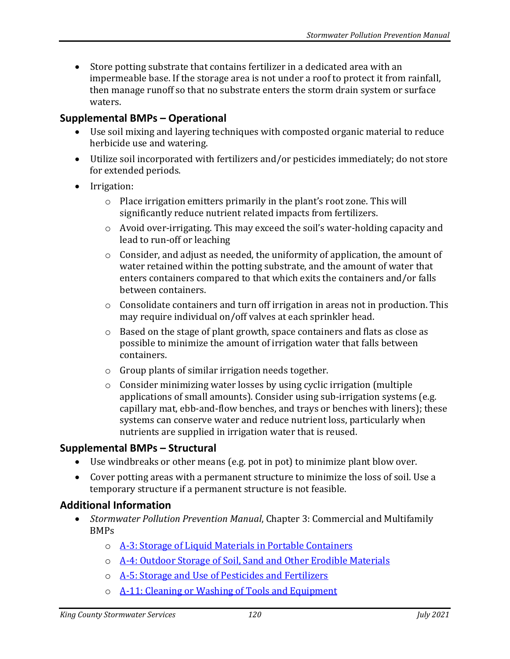• Store potting substrate that contains fertilizer in a dedicated area with an impermeable base. If the storage area is not under a roof to protect it from rainfall, then manage runoff so that no substrate enters the storm drain system or surface waters.

### **Supplemental BMPs – Operational**

- Use soil mixing and layering techniques with composted organic material to reduce herbicide use and watering.
- Utilize soil incorporated with fertilizers and/or pesticides immediately; do not store for extended periods.
- Irrigation:
	- o Place irrigation emitters primarily in the plant's root zone. This will significantly reduce nutrient related impacts from fertilizers.
	- o Avoid over-irrigating. This may exceed the soil's water-holding capacity and lead to run-off or leaching
	- $\circ$  Consider, and adjust as needed, the uniformity of application, the amount of water retained within the potting substrate, and the amount of water that enters containers compared to that which exits the containers and/or falls between containers.
	- o Consolidate containers and turn off irrigation in areas not in production. This may require individual on/off valves at each sprinkler head.
	- $\circ$  Based on the stage of plant growth, space containers and flats as close as possible to minimize the amount of irrigation water that falls between containers.
	- o Group plants of similar irrigation needs together.
	- o Consider minimizing water losses by using cyclic irrigation (multiple applications of small amounts). Consider using sub-irrigation systems (e.g. capillary mat, ebb-and-flow benches, and trays or benches with liners); these systems can conserve water and reduce nutrient loss, particularly when nutrients are supplied in irrigation water that is reused.

#### **Supplemental BMPs – Structural**

- Use windbreaks or other means (e.g. pot in pot) to minimize plant blow over.
- Cover potting areas with a permanent structure to minimize the loss of soil. Use a temporary structure if a permanent structure is not feasible.

#### **Additional Information**

- *Stormwater Pollution Prevention Manual*, Chapter 3: Commercial and Multifamily BMPs
	- o [A-3: Storage of Liquid Materials in Portable Containers](https://your.kingcounty.gov/dnrp/library/water-and-land/stormwater/stormwater-pollution-prevention-manual/a03-jul21.pdf)
	- o [A-4: Outdoor Storage of Soil, Sand and Other Erodible Materials](https://your.kingcounty.gov/dnrp/library/water-and-land/stormwater/stormwater-pollution-prevention-manual/a04-jul21.pdf)
	- o [A-5: Storage and Use of Pesticides and Fertilizers](https://your.kingcounty.gov/dnrp/library/water-and-land/stormwater/stormwater-pollution-prevention-manual/a05-jul21.pdf)
	- o [A-11: Cleaning or Washing of Tools and Equipment](https://your.kingcounty.gov/dnrp/library/water-and-land/stormwater/stormwater-pollution-prevention-manual/a11-jul21.pdf)